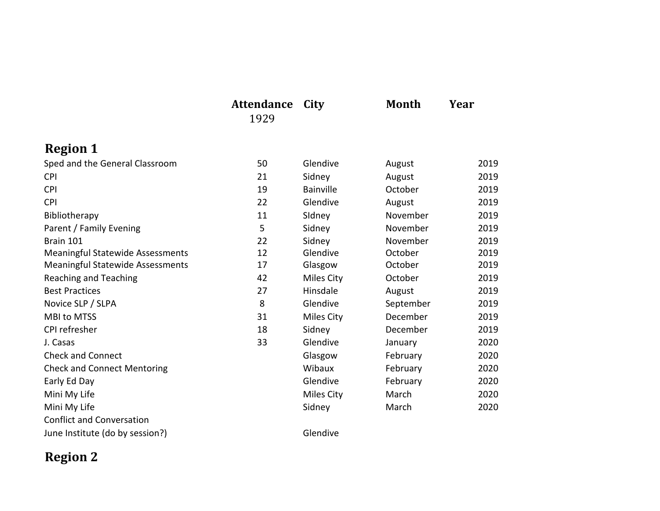|                                         | <b>Attendance</b> | City              | <b>Month</b> | Year |
|-----------------------------------------|-------------------|-------------------|--------------|------|
|                                         | 1929              |                   |              |      |
|                                         |                   |                   |              |      |
| <b>Region 1</b>                         |                   |                   |              |      |
| Sped and the General Classroom          | 50                | Glendive          | August       | 2019 |
| <b>CPI</b>                              | 21                | Sidney            | August       | 2019 |
| <b>CPI</b>                              | 19                | <b>Bainville</b>  | October      | 2019 |
| <b>CPI</b>                              | 22                | Glendive          | August       | 2019 |
| Bibliotherapy                           | 11                | Sidney            | November     | 2019 |
| Parent / Family Evening                 | 5                 | Sidney            | November     | 2019 |
| Brain 101                               | 22                | Sidney            | November     | 2019 |
| <b>Meaningful Statewide Assessments</b> | 12                | Glendive          | October      | 2019 |
| <b>Meaningful Statewide Assessments</b> | 17                | Glasgow           | October      | 2019 |
| Reaching and Teaching                   | 42                | <b>Miles City</b> | October      | 2019 |
| <b>Best Practices</b>                   | 27                | Hinsdale          | August       | 2019 |
| Novice SLP / SLPA                       | 8                 | Glendive          | September    | 2019 |
| <b>MBI to MTSS</b>                      | 31                | <b>Miles City</b> | December     | 2019 |
| CPI refresher                           | 18                | Sidney            | December     | 2019 |
| J. Casas                                | 33                | Glendive          | January      | 2020 |
| <b>Check and Connect</b>                |                   | Glasgow           | February     | 2020 |
| <b>Check and Connect Mentoring</b>      |                   | Wibaux            | February     | 2020 |
| Early Ed Day                            |                   | Glendive          | February     | 2020 |
| Mini My Life                            |                   | <b>Miles City</b> | March        | 2020 |
| Mini My Life                            |                   | Sidney            | March        | 2020 |
| <b>Conflict and Conversation</b>        |                   |                   |              |      |
| June Institute (do by session?)         |                   | Glendive          |              |      |

## **Region 2**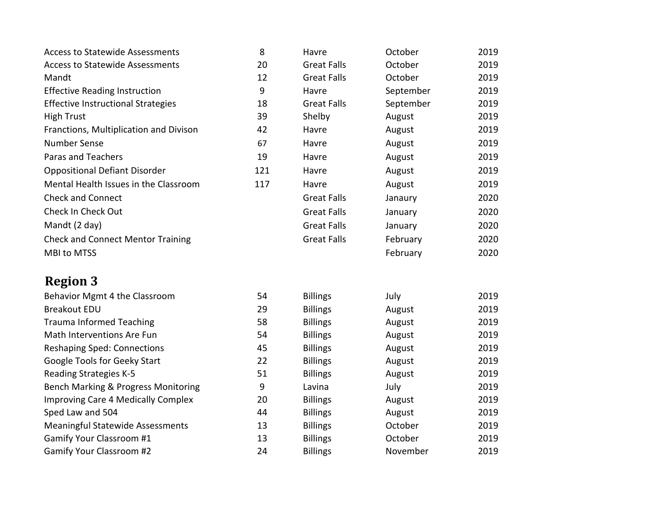| <b>Access to Statewide Assessments</b>    | 8   | Havre              | October   | 2019 |
|-------------------------------------------|-----|--------------------|-----------|------|
| <b>Access to Statewide Assessments</b>    | 20  | <b>Great Falls</b> | October   | 2019 |
| Mandt                                     | 12  | <b>Great Falls</b> | October   | 2019 |
| <b>Effective Reading Instruction</b>      | 9   | Havre              | September | 2019 |
| <b>Effective Instructional Strategies</b> | 18  | <b>Great Falls</b> | September | 2019 |
| <b>High Trust</b>                         | 39  | Shelby             | August    | 2019 |
| Franctions, Multiplication and Divison    | 42  | Havre              | August    | 2019 |
| Number Sense                              | 67  | Havre              | August    | 2019 |
| Paras and Teachers                        | 19  | Havre              | August    | 2019 |
| <b>Oppositional Defiant Disorder</b>      | 121 | Havre              | August    | 2019 |
| Mental Health Issues in the Classroom     | 117 | Havre              | August    | 2019 |
| <b>Check and Connect</b>                  |     | <b>Great Falls</b> | Janaury   | 2020 |
| Check In Check Out                        |     | <b>Great Falls</b> | January   | 2020 |
| Mandt (2 day)                             |     | <b>Great Falls</b> | January   | 2020 |
| <b>Check and Connect Mentor Training</b>  |     | <b>Great Falls</b> | February  | 2020 |
| MBI to MTSS                               |     |                    | February  | 2020 |
| <b>Region 3</b>                           |     |                    |           |      |
| Behavior Mgmt 4 the Classroom             | 54  | <b>Billings</b>    | July      | 2019 |
| <b>Breakout EDU</b>                       | 29  | <b>Billings</b>    | August    | 2019 |
| <b>Trauma Informed Teaching</b>           | 58  | <b>Billings</b>    | August    | 2019 |
| Math Interventions Are Fun                | 54  | <b>Billings</b>    | August    | 2019 |
| <b>Reshaping Sped: Connections</b>        | 45  | <b>Billings</b>    | August    | 2019 |
| Google Tools for Geeky Start              | 22  | <b>Billings</b>    | August    | 2019 |
| <b>Reading Strategies K-5</b>             | 51  | <b>Billings</b>    | August    | 2019 |
| Bench Marking & Progress Monitoring       | 9   | Lavina             | July      | 2019 |
| <b>Improving Care 4 Medically Complex</b> | 20  | <b>Billings</b>    | August    | 2019 |
| Sped Law and 504                          | 44  | <b>Billings</b>    | August    | 2019 |
| Meaningful Statewide Assessments          | 13  | <b>Billings</b>    | October   | 2019 |
| Gamify Your Classroom #1                  | 13  | <b>Billings</b>    | October   | 2019 |
| <b>Gamify Your Classroom #2</b>           | 24  | <b>Billings</b>    | November  | 2019 |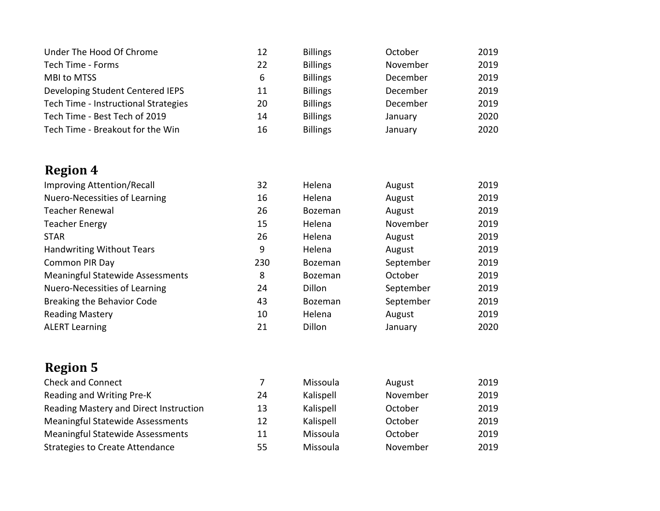| Under The Hood Of Chrome             | 12 | <b>Billings</b> | October  | 2019 |
|--------------------------------------|----|-----------------|----------|------|
| Tech Time - Forms                    | 22 | <b>Billings</b> | November | 2019 |
| <b>MBI to MTSS</b>                   | 6  | <b>Billings</b> | December | 2019 |
| Developing Student Centered IEPS     | 11 | <b>Billings</b> | December | 2019 |
| Tech Time - Instructional Strategies | 20 | <b>Billings</b> | December | 2019 |
| Tech Time - Best Tech of 2019        | 14 | <b>Billings</b> | January  | 2020 |
| Tech Time - Breakout for the Win     | 16 | <b>Billings</b> | January  | 2020 |

## **Region 4**

| 32  | Helena         | August    | 2019 |
|-----|----------------|-----------|------|
| 16  | Helena         | August    | 2019 |
| 26  | <b>Bozeman</b> | August    | 2019 |
| 15  | Helena         | November  | 2019 |
| 26  | Helena         | August    | 2019 |
| 9   | Helena         | August    | 2019 |
| 230 | <b>Bozeman</b> | September | 2019 |
| 8   | <b>Bozeman</b> | October   | 2019 |
| 24  | Dillon         | September | 2019 |
| 43  | <b>Bozeman</b> | September | 2019 |
| 10  | Helena         | August    | 2019 |
| 21  | Dillon         | January   | 2020 |
|     |                |           |      |

## **Region 5**

| <b>Check and Connect</b>                |    | Missoula  | August   | 2019 |
|-----------------------------------------|----|-----------|----------|------|
| Reading and Writing Pre-K               | 24 | Kalispell | November | 2019 |
| Reading Mastery and Direct Instruction  | 13 | Kalispell | October  | 2019 |
| <b>Meaningful Statewide Assessments</b> | 12 | Kalispell | October  | 2019 |
| <b>Meaningful Statewide Assessments</b> | 11 | Missoula  | October  | 2019 |
| <b>Strategies to Create Attendance</b>  | 55 | Missoula  | November | 2019 |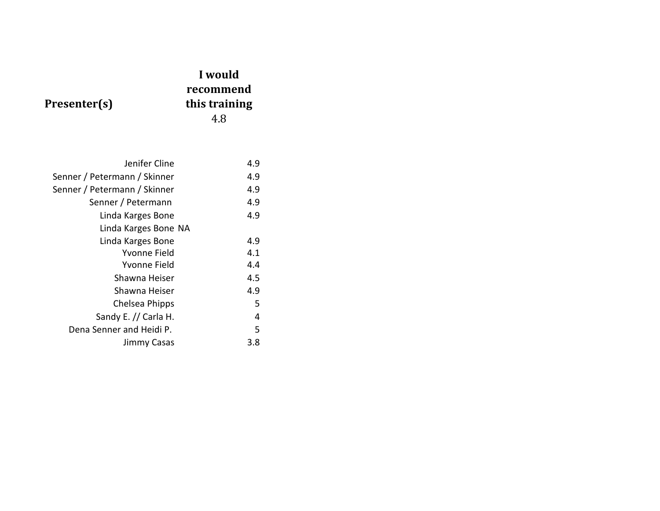## **I would recommend this training** 4.8

| Jenifer Cline                | 4.9 |
|------------------------------|-----|
| Senner / Petermann / Skinner | 4.9 |
| Senner / Petermann / Skinner | 4.9 |
| Senner / Petermann           | 4.9 |
| Linda Karges Bone            | 4.9 |
| Linda Karges Bone NA         |     |
| Linda Karges Bone            | 4.9 |
| Yvonne Field                 | 4.1 |
| Yvonne Field                 | 4.4 |
| Shawna Heiser                | 4.5 |
| Shawna Heiser                | 4.9 |
| Chelsea Phipps               | 5   |
| Sandy E. // Carla H.         | 4   |
| Dena Senner and Heidi P.     | 5   |
| Jimmy Casas                  | 3.8 |

**Presenter(s)**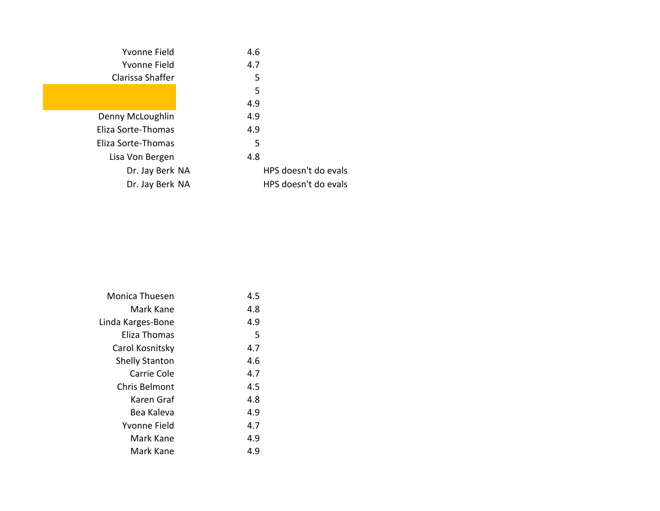| Yvonne Field       | 4.6 |                      |
|--------------------|-----|----------------------|
| Yvonne Field       | 4.7 |                      |
| Clarissa Shaffer   | 5   |                      |
|                    | 5   |                      |
|                    | 4.9 |                      |
| Denny McLoughlin   | 4.9 |                      |
| Eliza Sorte-Thomas | 4.9 |                      |
| Eliza Sorte-Thomas | 5   |                      |
| Lisa Von Bergen    | 4.8 |                      |
| Dr. Jay Berk NA    |     | HPS doesn't do evals |
| Dr. Jay Berk NA    |     | HPS doesn't do evals |
|                    |     |                      |

| Monica Thuesen        | 4.5 |
|-----------------------|-----|
| Mark Kane             | 4.8 |
| Linda Karges-Bone     | 4.9 |
| Eliza Thomas          | 5   |
| Carol Kosnitsky       | 4.7 |
| <b>Shelly Stanton</b> | 4.6 |
| Carrie Cole           | 4.7 |
| Chris Belmont         | 4.5 |
| Karen Graf            | 4.8 |
| Bea Kaleva            | 4.9 |
| Yvonne Field          | 4.7 |
| Mark Kane             | 4.9 |
| Mark Kane             | 4.9 |